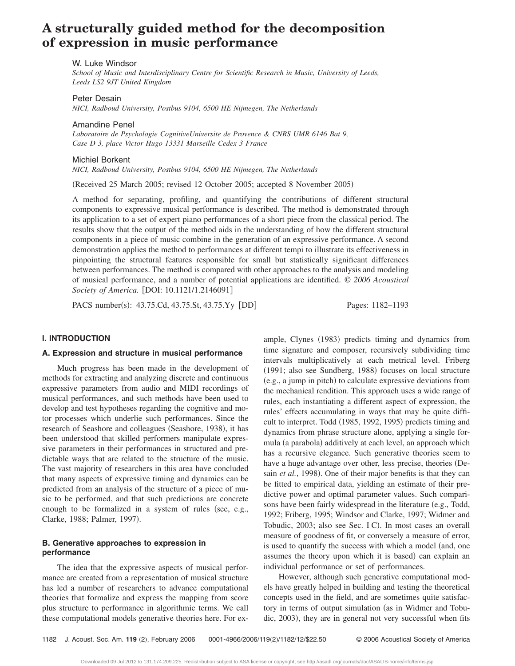# **A structurally guided method for the decomposition of expression in music performance**

#### W. Luke Windsor

*School of Music and Interdisciplinary Centre for Scientific Research in Music, University of Leeds, Leeds LS2 9JT United Kingdom*

#### Peter Desain

*NICI, Radboud University, Postbus 9104, 6500 HE Nijmegen, The Netherlands*

# Amandine Penel

*Laboratoire de Psychologie CognitiveUniversite de Provence & CNRS UMR 6146 Bat 9, Case D 3, place Victor Hugo 13331 Marseille Cedex 3 France*

#### Michiel Borkent

*NICI, Radboud University, Postbus 9104, 6500 HE Nijmegen, The Netherlands*

(Received 25 March 2005; revised 12 October 2005; accepted 8 November 2005)

A method for separating, profiling, and quantifying the contributions of different structural components to expressive musical performance is described. The method is demonstrated through its application to a set of expert piano performances of a short piece from the classical period. The results show that the output of the method aids in the understanding of how the different structural components in a piece of music combine in the generation of an expressive performance. A second demonstration applies the method to performances at different tempi to illustrate its effectiveness in pinpointing the structural features responsible for small but statistically significant differences between performances. The method is compared with other approaches to the analysis and modeling of musical performance, and a number of potential applications are identified. © *2006 Acoustical Society of America.* [DOI: 10.1121/1.2146091]

PACS number(s): 43.75.Cd, 43.75.St, 43.75.Yy [DD] Pages: 1182–1193

# **I. INTRODUCTION**

#### **A. Expression and structure in musical performance**

Much progress has been made in the development of methods for extracting and analyzing discrete and continuous expressive parameters from audio and MIDI recordings of musical performances, and such methods have been used to develop and test hypotheses regarding the cognitive and motor processes which underlie such performances. Since the research of Seashore and colleagues (Seashore, 1938), it has been understood that skilled performers manipulate expressive parameters in their performances in structured and predictable ways that are related to the structure of the music. The vast majority of researchers in this area have concluded that many aspects of expressive timing and dynamics can be predicted from an analysis of the structure of a piece of music to be performed, and that such predictions are concrete enough to be formalized in a system of rules (see, e.g., Clarke, 1988; Palmer, 1997).

# **B. Generative approaches to expression in performance**

The idea that the expressive aspects of musical performance are created from a representation of musical structure has led a number of researchers to advance computational theories that formalize and express the mapping from score plus structure to performance in algorithmic terms. We call these computational models generative theories here. For ex-

ample, Clynes (1983) predicts timing and dynamics from time signature and composer, recursively subdividing time intervals multiplicatively at each metrical level. Friberg (1991; also see Sundberg, 1988) focuses on local structure (e.g., a jump in pitch) to calculate expressive deviations from the mechanical rendition. This approach uses a wide range of rules, each instantiating a different aspect of expression, the rules' effects accumulating in ways that may be quite difficult to interpret. Todd (1985, 1992, 1995) predicts timing and dynamics from phrase structure alone, applying a single formula (a parabola) additively at each level, an approach which has a recursive elegance. Such generative theories seem to have a huge advantage over other, less precise, theories (Desain et al., 1998). One of their major benefits is that they can be fitted to empirical data, yielding an estimate of their predictive power and optimal parameter values. Such comparisons have been fairly widespread in the literature (e.g., Todd, 1992; Friberg, 1995; Windsor and Clarke, 1997; Widmer and Tobudic, 2003; also see Sec. I C). In most cases an overall measure of goodness of fit, or conversely a measure of error, is used to quantify the success with which a model (and, one assumes the theory upon which it is based) can explain an individual performance or set of performances.

However, although such generative computational models have greatly helped in building and testing the theoretical concepts used in the field, and are sometimes quite satisfactory in terms of output simulation (as in Widmer and Tobudic, 2003), they are in general not very successful when fits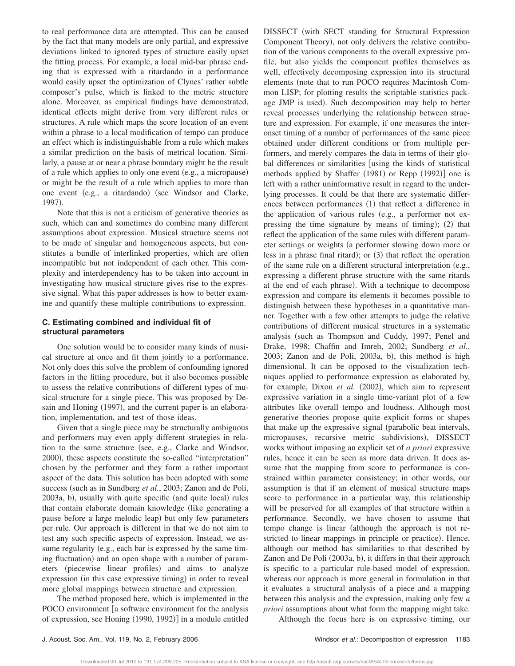to real performance data are attempted. This can be caused by the fact that many models are only partial, and expressive deviations linked to ignored types of structure easily upset the fitting process. For example, a local mid-bar phrase ending that is expressed with a ritardando in a performance would easily upset the optimization of Clynes' rather subtle composer's pulse, which is linked to the metric structure alone. Moreover, as empirical findings have demonstrated, identical effects might derive from very different rules or structures. A rule which maps the score location of an event within a phrase to a local modification of tempo can produce an effect which is indistinguishable from a rule which makes a similar prediction on the basis of metrical location. Similarly, a pause at or near a phrase boundary might be the result of a rule which applies to only one event (e.g., a micropause) or might be the result of a rule which applies to more than one event (e.g., a ritardando) (see Windsor and Clarke, 1997).

Note that this is not a criticism of generative theories as such, which can and sometimes do combine many different assumptions about expression. Musical structure seems not to be made of singular and homogeneous aspects, but constitutes a bundle of interlinked properties, which are often incompatible but not independent of each other. This complexity and interdependency has to be taken into account in investigating how musical structure gives rise to the expressive signal. What this paper addresses is how to better examine and quantify these multiple contributions to expression.

# **C. Estimating combined and individual fit of structural parameters**

One solution would be to consider many kinds of musical structure at once and fit them jointly to a performance. Not only does this solve the problem of confounding ignored factors in the fitting procedure, but it also becomes possible to assess the relative contributions of different types of musical structure for a single piece. This was proposed by Desain and Honing (1997), and the current paper is an elaboration, implementation, and test of those ideas.

Given that a single piece may be structurally ambiguous and performers may even apply different strategies in relation to the same structure (see, e.g., Clarke and Windsor, 2000), these aspects constitute the so-called "interpretation" chosen by the performer and they form a rather important aspect of the data. This solution has been adopted with some success (such as in Sundberg *et al.*, 2003; Zanon and de Poli, 2003a, b), usually with quite specific (and quite local) rules that contain elaborate domain knowledge (like generating a pause before a large melodic leap) but only few parameters per rule. Our approach is different in that we do not aim to test any such specific aspects of expression. Instead, we assume regularity (e.g., each bar is expressed by the same timing fluctuation) and an open shape with a number of parameters (piecewise linear profiles) and aims to analyze expression (in this case expressive timing) in order to reveal more global mappings between structure and expression.

The method proposed here, which is implemented in the POCO environment [a software environment for the analysis of expression, see Honing (1990, 1992)] in a module entitled

DISSECT with SECT standing for Structural Expression Component Theory), not only delivers the relative contribution of the various components to the overall expressive profile, but also yields the component profiles themselves as well, effectively decomposing expression into its structural elements (note that to run POCO requires Macintosh Common LISP; for plotting results the scriptable statistics package JMP is used). Such decomposition may help to better reveal processes underlying the relationship between structure and expression. For example, if one measures the interonset timing of a number of performances of the same piece obtained under different conditions or from multiple performers, and merely compares the data in terms of their global differences or similarities [using the kinds of statistical methods applied by Shaffer (1981) or Repp (1992)] one is left with a rather uninformative result in regard to the underlying processes. It could be that there are systematic differences between performances (1) that reflect a difference in the application of various rules (e.g., a performer not expressing the time signature by means of timing); (2) that reflect the application of the same rules with different parameter settings or weights (a performer slowing down more or less in a phrase final ritard); or (3) that reflect the operation of the same rule on a different structural interpretation (e.g., expressing a different phrase structure with the same ritards at the end of each phrase). With a technique to decompose expression and compare its elements it becomes possible to distinguish between these hypotheses in a quantitative manner. Together with a few other attempts to judge the relative contributions of different musical structures in a systematic analysis (such as Thompson and Cuddy, 1997; Penel and Drake, 1998; Chaffin and Imreh, 2002; Sundberg *et al.*, 2003; Zanon and de Poli, 2003a, b), this method is high dimensional. It can be opposed to the visualization techniques applied to performance expression as elaborated by, for example, Dixon et al. (2002), which aim to represent expressive variation in a single time-variant plot of a few attributes like overall tempo and loudness. Although most generative theories propose quite explicit forms or shapes that make up the expressive signal (parabolic beat intervals, micropauses, recursive metric subdivisions), DISSECT works without imposing an explicit set of *a priori* expressive rules, hence it can be seen as more data driven. It does assume that the mapping from score to performance is constrained within parameter consistency; in other words, our assumption is that if an element of musical structure maps score to performance in a particular way, this relationship will be preserved for all examples of that structure within a performance. Secondly, we have chosen to assume that tempo change is linear (although the approach is not restricted to linear mappings in principle or practice). Hence, although our method has similarities to that described by Zanon and De Poli (2003a, b), it differs in that their approach is specific to a particular rule-based model of expression, whereas our approach is more general in formulation in that it evaluates a structural analysis of a piece and a mapping between this analysis and the expression, making only few *a priori* assumptions about what form the mapping might take.

Although the focus here is on expressive timing, our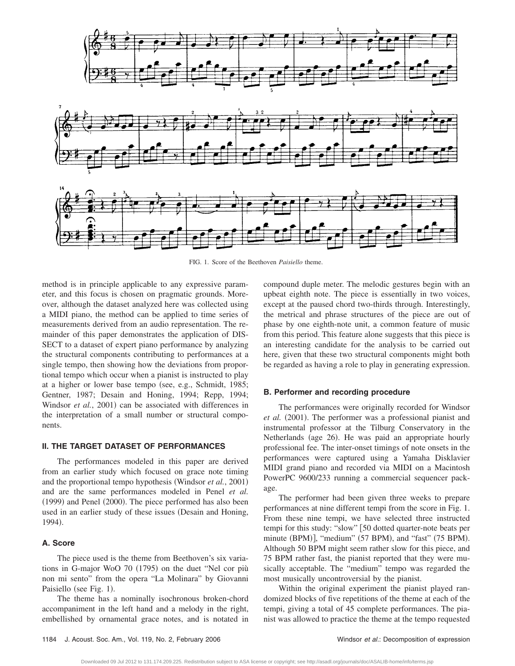

FIG. 1. Score of the Beethoven *Paisiello* theme.

method is in principle applicable to any expressive parameter, and this focus is chosen on pragmatic grounds. Moreover, although the dataset analyzed here was collected using a MIDI piano, the method can be applied to time series of measurements derived from an audio representation. The remainder of this paper demonstrates the application of DIS-SECT to a dataset of expert piano performance by analyzing the structural components contributing to performances at a single tempo, then showing how the deviations from proportional tempo which occur when a pianist is instructed to play at a higher or lower base tempo (see, e.g., Schmidt, 1985; Gentner, 1987; Desain and Honing, 1994; Repp, 1994; Windsor et al., 2001) can be associated with differences in the interpretation of a small number or structural components.

# **II. THE TARGET DATASET OF PERFORMANCES**

The performances modeled in this paper are derived from an earlier study which focused on grace note timing and the proportional tempo hypothesis (Windsor et al., 2001) and are the same performances modeled in Penel *et al.* (1999) and Penel (2000). The piece performed has also been used in an earlier study of these issues (Desain and Honing, 1994).

## **A. Score**

The piece used is the theme from Beethoven's six variations in G-major WoO 70 (1795) on the duet "Nel cor più non mi sento" from the opera "La Molinara" by Giovanni Paisiello (see Fig. 1).

The theme has a nominally isochronous broken-chord accompaniment in the left hand and a melody in the right, embellished by ornamental grace notes, and is notated in

compound duple meter. The melodic gestures begin with an upbeat eighth note. The piece is essentially in two voices, except at the paused chord two-thirds through. Interestingly, the metrical and phrase structures of the piece are out of phase by one eighth-note unit, a common feature of music from this period. This feature alone suggests that this piece is an interesting candidate for the analysis to be carried out here, given that these two structural components might both be regarded as having a role to play in generating expression.

## **B. Performer and recording procedure**

The performances were originally recorded for Windsor et al. (2001). The performer was a professional pianist and instrumental professor at the Tilburg Conservatory in the Netherlands (age 26). He was paid an appropriate hourly professional fee. The inter-onset timings of note onsets in the performances were captured using a Yamaha Disklavier MIDI grand piano and recorded via MIDI on a Macintosh PowerPC 9600/233 running a commercial sequencer package.

The performer had been given three weeks to prepare performances at nine different tempi from the score in Fig. 1. From these nine tempi, we have selected three instructed tempi for this study: "slow" [50 dotted quarter-note beats per minute (BPM)], "medium" (57 BPM), and "fast" (75 BPM). Although 50 BPM might seem rather slow for this piece, and 75 BPM rather fast, the pianist reported that they were musically acceptable. The "medium" tempo was regarded the most musically uncontroversial by the pianist.

Within the original experiment the pianist played randomized blocks of five repetitions of the theme at each of the tempi, giving a total of 45 complete performances. The pianist was allowed to practice the theme at the tempo requested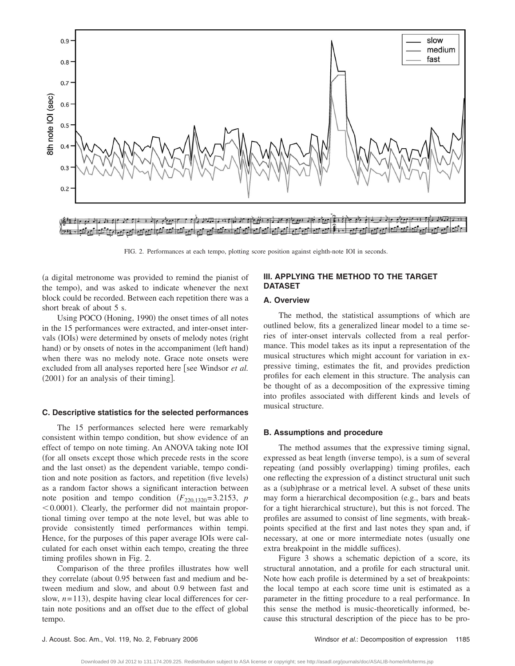

FIG. 2. Performances at each tempo, plotting score position against eighth-note IOI in seconds.

a digital metronome was provided to remind the pianist of the tempo), and was asked to indicate whenever the next block could be recorded. Between each repetition there was a short break of about 5 s.

Using POCO (Honing, 1990) the onset times of all notes in the 15 performances were extracted, and inter-onset intervals (IOIs) were determined by onsets of melody notes (right hand) or by onsets of notes in the accompaniment (left hand) when there was no melody note. Grace note onsets were excluded from all analyses reported here [see Windsor *et al.*  $(2001)$  for an analysis of their timing].

#### **C. Descriptive statistics for the selected performances**

The 15 performances selected here were remarkably consistent within tempo condition, but show evidence of an effect of tempo on note timing. An ANOVA taking note IOI for all onsets except those which precede rests in the score and the last onset) as the dependent variable, tempo condition and note position as factors, and repetition (five levels) as a random factor shows a significant interaction between note position and tempo condition  $(F_{220,1320}=3.2153, p)$  $<$  0.0001). Clearly, the performer did not maintain proportional timing over tempo at the note level, but was able to provide consistently timed performances within tempi. Hence, for the purposes of this paper average IOIs were calculated for each onset within each tempo, creating the three timing profiles shown in Fig. 2.

Comparison of the three profiles illustrates how well they correlate (about 0.95 between fast and medium and between medium and slow, and about 0.9 between fast and slow,  $n = 113$ ), despite having clear local differences for certain note positions and an offset due to the effect of global tempo.

# **III. APPLYING THE METHOD TO THE TARGET DATASET**

## **A. Overview**

The method, the statistical assumptions of which are outlined below, fits a generalized linear model to a time series of inter-onset intervals collected from a real performance. This model takes as its input a representation of the musical structures which might account for variation in expressive timing, estimates the fit, and provides prediction profiles for each element in this structure. The analysis can be thought of as a decomposition of the expressive timing into profiles associated with different kinds and levels of musical structure.

#### **B. Assumptions and procedure**

The method assumes that the expressive timing signal, expressed as beat length (inverse tempo), is a sum of several repeating (and possibly overlapping) timing profiles, each one reflecting the expression of a distinct structural unit such as a (sub)phrase or a metrical level. A subset of these units may form a hierarchical decomposition (e.g., bars and beats for a tight hierarchical structure), but this is not forced. The profiles are assumed to consist of line segments, with breakpoints specified at the first and last notes they span and, if necessary, at one or more intermediate notes (usually one extra breakpoint in the middle suffices).

Figure 3 shows a schematic depiction of a score, its structural annotation, and a profile for each structural unit. Note how each profile is determined by a set of breakpoints: the local tempo at each score time unit is estimated as a parameter in the fitting procedure to a real performance. In this sense the method is music-theoretically informed, because this structural description of the piece has to be pro-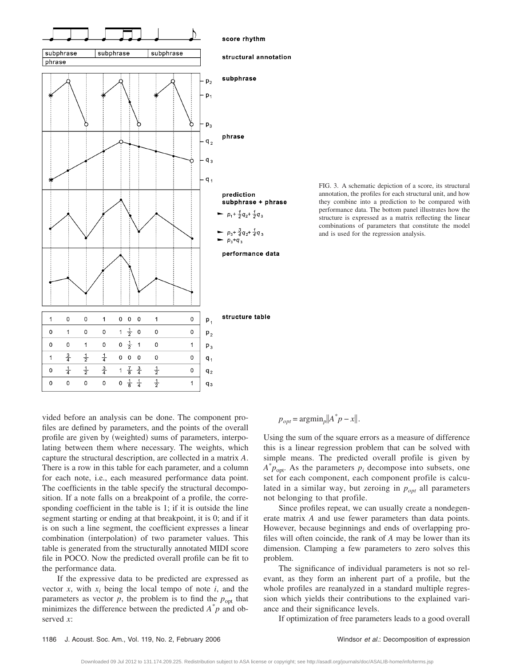

FIG. 3. A schematic depiction of a score, its structural annotation, the profiles for each structural unit, and how they combine into a prediction to be compared with performance data. The bottom panel illustrates how the structure is expressed as a matrix reflecting the linear combinations of parameters that constitute the model and is used for the regression analysis.

vided before an analysis can be done. The component profiles are defined by parameters, and the points of the overall profile are given by (weighted) sums of parameters, interpolating between them where necessary. The weights, which capture the structural description, are collected in a matrix *A*. There is a row in this table for each parameter, and a column for each note, i.e., each measured performance data point. The coefficients in the table specify the structural decomposition. If a note falls on a breakpoint of a profile, the corresponding coefficient in the table is 1; if it is outside the line segment starting or ending at that breakpoint, it is 0; and if it is on such a line segment, the coefficient expresses a linear combination (interpolation) of two parameter values. This table is generated from the structurally annotated MIDI score file in POCO. Now the predicted overall profile can be fit to the performance data.

If the expressive data to be predicted are expressed as vector  $x$ , with  $x_i$  being the local tempo of note  $i$ , and the parameters as vector  $p$ , the problem is to find the  $p_{opt}$  that minimizes the difference between the predicted  $A^*p$  and observed *x*:

$$
p_{opt} = \operatorname{argmin}_p \|A^* p - x\|.
$$

Using the sum of the square errors as a measure of difference this is a linear regression problem that can be solved with simple means. The predicted overall profile is given by  $A^*p_{\text{opt}}$ . As the parameters  $p_i$  decompose into subsets, one set for each component, each component profile is calculated in a similar way, but zeroing in  $p_{opt}$  all parameters not belonging to that profile.

Since profiles repeat, we can usually create a nondegenerate matrix *A* and use fewer parameters than data points. However, because beginnings and ends of overlapping profiles will often coincide, the rank of *A* may be lower than its dimension. Clamping a few parameters to zero solves this problem.

The significance of individual parameters is not so relevant, as they form an inherent part of a profile, but the whole profiles are reanalyzed in a standard multiple regression which yields their contributions to the explained variance and their significance levels.

If optimization of free parameters leads to a good overall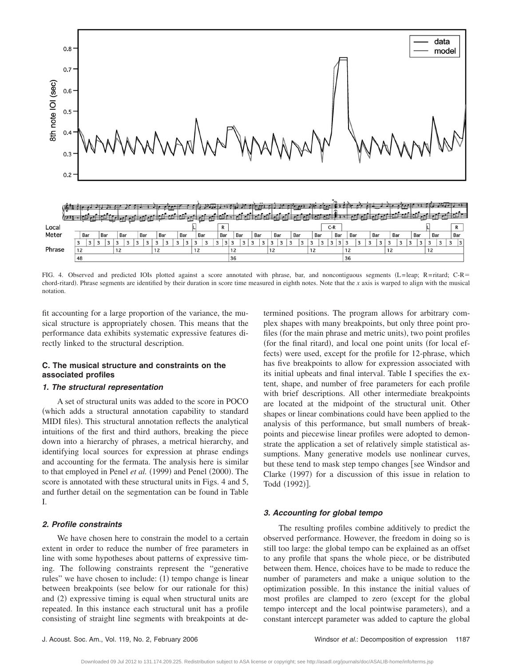

FIG. 4. Observed and predicted IOIs plotted against a score annotated with phrase, bar, and noncontiguous segments (L=leap; R=ritard; C-R= chord-ritard). Phrase segments are identified by their duration in score time measured in eighth notes. Note that the *x* axis is warped to align with the musical notation.

fit accounting for a large proportion of the variance, the musical structure is appropriately chosen. This means that the performance data exhibits systematic expressive features directly linked to the structural description.

# **C. The musical structure and constraints on the associated profiles**

## *1. The structural representation*

A set of structural units was added to the score in POCO which adds a structural annotation capability to standard MIDI files). This structural annotation reflects the analytical intuitions of the first and third authors, breaking the piece down into a hierarchy of phrases, a metrical hierarchy, and identifying local sources for expression at phrase endings and accounting for the fermata. The analysis here is similar to that employed in Penel et al. (1999) and Penel (2000). The score is annotated with these structural units in Figs. 4 and 5, and further detail on the segmentation can be found in Table I.

#### *2. Profile constraints*

We have chosen here to constrain the model to a certain extent in order to reduce the number of free parameters in line with some hypotheses about patterns of expressive timing. The following constraints represent the "generative rules" we have chosen to include: (1) tempo change is linear between breakpoints (see below for our rationale for this) and (2) expressive timing is equal when structural units are repeated. In this instance each structural unit has a profile consisting of straight line segments with breakpoints at determined positions. The program allows for arbitrary complex shapes with many breakpoints, but only three point profiles (for the main phrase and metric units), two point profiles (for the final ritard), and local one point units (for local effects) were used, except for the profile for 12-phrase, which has five breakpoints to allow for expression associated with its initial upbeats and final interval. Table I specifies the extent, shape, and number of free parameters for each profile with brief descriptions. All other intermediate breakpoints are located at the midpoint of the structural unit. Other shapes or linear combinations could have been applied to the analysis of this performance, but small numbers of breakpoints and piecewise linear profiles were adopted to demonstrate the application a set of relatively simple statistical assumptions. Many generative models use nonlinear curves, but these tend to mask step tempo changes [see Windsor and Clarke (1997) for a discussion of this issue in relation to Todd (1992)].

## *3. Accounting for global tempo*

The resulting profiles combine additively to predict the observed performance. However, the freedom in doing so is still too large: the global tempo can be explained as an offset to any profile that spans the whole piece, or be distributed between them. Hence, choices have to be made to reduce the number of parameters and make a unique solution to the optimization possible. In this instance the initial values of most profiles are clamped to zero (except for the global tempo intercept and the local pointwise parameters), and a constant intercept parameter was added to capture the global

Downloaded 09 Jul 2012 to 131.174.209.225. Redistribution subject to ASA license or copyright; see http://asadl.org/journals/doc/ASALIB-home/info/terms.jsp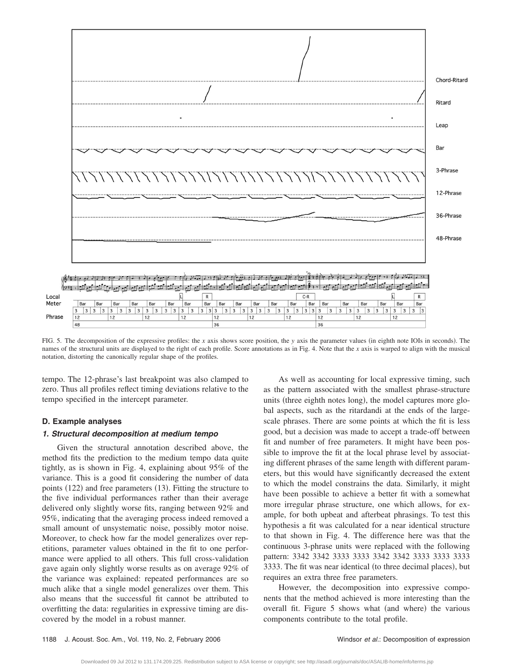

FIG. 5. The decomposition of the expressive profiles: the *x* axis shows score position, the *y* axis the parameter values (in eighth note IOIs in seconds). The names of the structural units are displayed to the right of each profile. Score annotations as in Fig. 4. Note that the *x* axis is warped to align with the musical notation, distorting the canonically regular shape of the profiles.

tempo. The 12-phrase's last breakpoint was also clamped to zero. Thus all profiles reflect timing deviations relative to the tempo specified in the intercept parameter.

# **D. Example analyses**

# *1. Structural decomposition at medium tempo*

Given the structural annotation described above, the method fits the prediction to the medium tempo data quite tightly, as is shown in Fig. 4, explaining about 95% of the variance. This is a good fit considering the number of data points (122) and free parameters (13). Fitting the structure to the five individual performances rather than their average delivered only slightly worse fits, ranging between 92% and 95%, indicating that the averaging process indeed removed a small amount of unsystematic noise, possibly motor noise. Moreover, to check how far the model generalizes over repetitions, parameter values obtained in the fit to one performance were applied to all others. This full cross-validation gave again only slightly worse results as on average 92% of the variance was explained: repeated performances are so much alike that a single model generalizes over them. This also means that the successful fit cannot be attributed to overfitting the data: regularities in expressive timing are discovered by the model in a robust manner.

As well as accounting for local expressive timing, such as the pattern associated with the smallest phrase-structure units (three eighth notes long), the model captures more global aspects, such as the ritardandi at the ends of the largescale phrases. There are some points at which the fit is less good, but a decision was made to accept a trade-off between fit and number of free parameters. It might have been possible to improve the fit at the local phrase level by associating different phrases of the same length with different parameters, but this would have significantly decreased the extent to which the model constrains the data. Similarly, it might have been possible to achieve a better fit with a somewhat more irregular phrase structure, one which allows, for example, for both upbeat and afterbeat phrasings. To test this hypothesis a fit was calculated for a near identical structure to that shown in Fig. 4. The difference here was that the continuous 3-phrase units were replaced with the following pattern: 3342 3342 3333 3333 3342 3342 3333 3333 3333 3333. The fit was near identical (to three decimal places), but requires an extra three free parameters.

However, the decomposition into expressive components that the method achieved is more interesting than the overall fit. Figure 5 shows what (and where) the various components contribute to the total profile.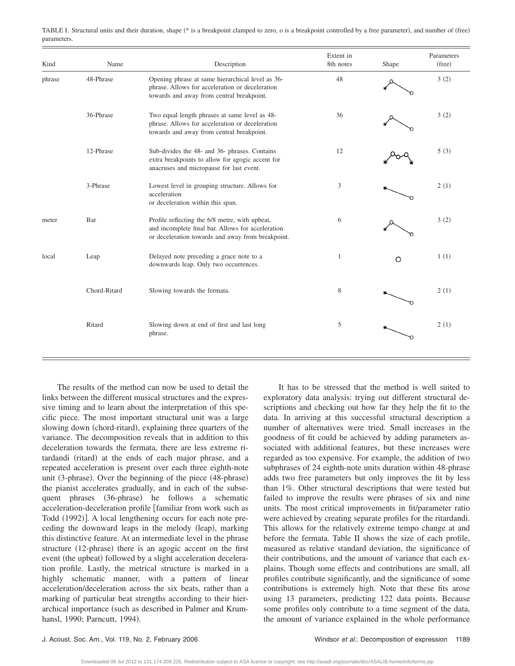| Kind   | Name         | Description                                                                                                                                              | Extent in<br>8th notes | Shape   | Parameters<br>(free) |
|--------|--------------|----------------------------------------------------------------------------------------------------------------------------------------------------------|------------------------|---------|----------------------|
| phrase | 48-Phrase    | Opening phrase at same hierarchical level as 36-<br>phrase. Allows for acceleration or deceleration<br>towards and away from central breakpoint.         | 48                     |         | 3(2)                 |
|        | 36-Phrase    | Two equal length phrases at same level as 48-<br>phrase. Allows for acceleration or deceleration<br>towards and away from central breakpoint.            | 36                     |         | 3(2)                 |
|        | 12-Phrase    | Sub-divides the 48- and 36- phrases. Contains<br>extra breakpoints to allow for agogic accent for<br>anacruses and micropause for last event.            | 12                     |         | 5(3)                 |
|        | 3-Phrase     | Lowest level in grouping structure. Allows for<br>acceleration<br>or deceleration within this span.                                                      | 3                      |         | 2(1)                 |
| meter  | Bar          | Profile reflecting the 6/8 metre, with upbeat,<br>and incomplete final bar. Allows for acceleration<br>or deceleration towards and away from breakpoint. | 6                      |         | 3(2)                 |
| local  | Leap         | Delayed note preceding a grace note to a<br>downwards leap. Only two occurrences.                                                                        | 1                      | $\circ$ | 1(1)                 |
|        | Chord-Ritard | Slowing towards the fermata.                                                                                                                             | 8                      |         | 2(1)                 |
|        | Ritard       | Slowing down at end of first and last long<br>phrase.                                                                                                    | 5                      | O       | 2(1)                 |

TABLE I. Structural units and their duration, shape (\* is a breakpoint clamped to zero, o is a breakpoint controlled by a free parameter), and number of (free) parameters.

The results of the method can now be used to detail the links between the different musical structures and the expressive timing and to learn about the interpretation of this specific piece. The most important structural unit was a large slowing down (chord-ritard), explaining three quarters of the variance. The decomposition reveals that in addition to this deceleration towards the fermata, there are less extreme ritardandi (ritard) at the ends of each major phrase, and a repeated acceleration is present over each three eighth-note unit (3-phrase). Over the beginning of the piece (48-phrase) the pianist accelerates gradually, and in each of the subsequent phrases (36-phrase) he follows a schematic acceleration-deceleration profile familiar from work such as Todd (1992)]. A local lengthening occurs for each note preceding the downward leaps in the melody (leap), marking this distinctive feature. At an intermediate level in the phrase structure (12-phrase) there is an agogic accent on the first event (the upbeat) followed by a slight acceleration deceleration profile. Lastly, the metrical structure is marked in a highly schematic manner, with a pattern of linear acceleration/deceleration across the six beats, rather than a marking of particular beat strengths according to their hierarchical importance (such as described in Palmer and Krumhansl, 1990; Parncutt, 1994).

It has to be stressed that the method is well suited to exploratory data analysis: trying out different structural descriptions and checking out how far they help the fit to the data. In arriving at this successful structural description a number of alternatives were tried. Small increases in the goodness of fit could be achieved by adding parameters associated with additional features, but these increases were regarded as too expensive. For example, the addition of two subphrases of 24 eighth-note units duration within 48-phrase adds two free parameters but only improves the fit by less than 1%. Other structural descriptions that were tested but failed to improve the results were phrases of six and nine units. The most critical improvements in fit/parameter ratio were achieved by creating separate profiles for the ritardandi. This allows for the relatively extreme tempo change at and before the fermata. Table II shows the size of each profile, measured as relative standard deviation, the significance of their contributions, and the amount of variance that each explains. Though some effects and contributions are small, all profiles contribute significantly, and the significance of some contributions is extremely high. Note that these fits arose using 13 parameters, predicting 122 data points. Because some profiles only contribute to a time segment of the data, the amount of variance explained in the whole performance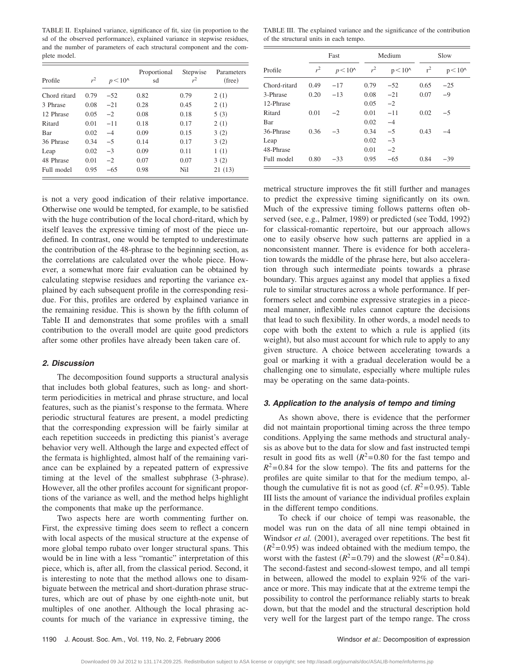TABLE II. Explained variance, significance of fit, size (in proportion to the sd of the observed performance), explained variance in stepwise residues, and the number of parameters of each structural component and the complete model.

| Profile      | $r^2$ | $p < 10^{\circ}$ | Proportional<br>sd | Stepwise<br>$r^2$ | Parameters<br>(free) |
|--------------|-------|------------------|--------------------|-------------------|----------------------|
| Chord ritard | 0.79  | $-52$            | 0.82               | 0.79              | 2(1)                 |
| 3 Phrase     | 0.08  | $-21$            | 0.28               | 0.45              | 2(1)                 |
| 12 Phrase    | 0.05  | $-2$             | 0.08               | 0.18              | 5(3)                 |
| Ritard       | 0.01  | $-11$            | 0.18               | 0.17              | 2(1)                 |
| Bar          | 0.02  | $-4$             | 0.09               | 0.15              | 3(2)                 |
| 36 Phrase    | 0.34  | $-5$             | 0.14               | 0.17              | 3(2)                 |
| Leap         | 0.02  | $-3$             | 0.09               | 0.11              | 1(1)                 |
| 48 Phrase    | 0.01  | $-2$             | 0.07               | 0.07              | 3(2)                 |
| Full model   | 0.95  | $-65$            | 0.98               | Nil               | 21(13)               |

is not a very good indication of their relative importance. Otherwise one would be tempted, for example, to be satisfied with the huge contribution of the local chord-ritard, which by itself leaves the expressive timing of most of the piece undefined. In contrast, one would be tempted to underestimate the contribution of the 48-phrase to the beginning section, as the correlations are calculated over the whole piece. However, a somewhat more fair evaluation can be obtained by calculating stepwise residues and reporting the variance explained by each subsequent profile in the corresponding residue. For this, profiles are ordered by explained variance in the remaining residue. This is shown by the fifth column of Table II and demonstrates that some profiles with a small contribution to the overall model are quite good predictors after some other profiles have already been taken care of.

# *2. Discussion*

The decomposition found supports a structural analysis that includes both global features, such as long- and shortterm periodicities in metrical and phrase structure, and local features, such as the pianist's response to the fermata. Where periodic structural features are present, a model predicting that the corresponding expression will be fairly similar at each repetition succeeds in predicting this pianist's average behavior very well. Although the large and expected effect of the fermata is highlighted, almost half of the remaining variance can be explained by a repeated pattern of expressive timing at the level of the smallest subphrase (3-phrase). However, all the other profiles account for significant proportions of the variance as well, and the method helps highlight the components that make up the performance.

Two aspects here are worth commenting further on. First, the expressive timing does seem to reflect a concern with local aspects of the musical structure at the expense of more global tempo rubato over longer structural spans. This would be in line with a less "romantic" interpretation of this piece, which is, after all, from the classical period. Second, it is interesting to note that the method allows one to disambiguate between the metrical and short-duration phrase structures, which are out of phase by one eighth-note unit, but multiples of one another. Although the local phrasing accounts for much of the variance in expressive timing, the

TABLE III. The explained variance and the significance of the contribution of the structural units in each tempo.

|              |       | Fast             |       | Medium            |       | Slow              |  |
|--------------|-------|------------------|-------|-------------------|-------|-------------------|--|
| Profile      | $r^2$ | $p < 10^{\circ}$ | $r^2$ | p<10 <sup>0</sup> | $r^2$ | p<10 <sup>0</sup> |  |
| Chord-ritard | 0.49  | $-17$            | 0.79  | $-52$             | 0.65  | $-25$             |  |
| 3-Phrase     | 0.20  | $-13$            | 0.08  | $-21$             | 0.07  | $-9$              |  |
| 12-Phrase    |       |                  | 0.05  | $-2$              |       |                   |  |
| Ritard       | 0.01  | $-2$             | 0.01  | $-11$             | 0.02  | $-5$              |  |
| Bar          |       |                  | 0.02  | $-4$              |       |                   |  |
| 36-Phrase    | 0.36  | $-3$             | 0.34  | $-5$              | 0.43  | -4                |  |
| Leap         |       |                  | 0.02  | $-3$              |       |                   |  |
| 48-Phrase    |       |                  | 0.01  | $-2$              |       |                   |  |
| Full model   | 0.80  | $-33$            | 0.95  | $-65$             | 0.84  | $-39$             |  |

metrical structure improves the fit still further and manages to predict the expressive timing significantly on its own. Much of the expressive timing follows patterns often observed (see, e.g., Palmer, 1989) or predicted (see Todd, 1992) for classical-romantic repertoire, but our approach allows one to easily observe how such patterns are applied in a nonconsistent manner. There is evidence for both acceleration towards the middle of the phrase here, but also acceleration through such intermediate points towards a phrase boundary. This argues against any model that applies a fixed rule to similar structures across a whole performance. If performers select and combine expressive strategies in a piecemeal manner, inflexible rules cannot capture the decisions that lead to such flexibility. In other words, a model needs to cope with both the extent to which a rule is applied (its weight), but also must account for which rule to apply to any given structure. A choice between accelerating towards a goal or marking it with a gradual deceleration would be a challenging one to simulate, especially where multiple rules may be operating on the same data-points.

#### *3. Application to the analysis of tempo and timing*

As shown above, there is evidence that the performer did not maintain proportional timing across the three tempo conditions. Applying the same methods and structural analysis as above but to the data for slow and fast instructed tempi result in good fits as well  $(R^2=0.80$  for the fast tempo and  $R^2$ =0.84 for the slow tempo). The fits and patterns for the profiles are quite similar to that for the medium tempo, although the cumulative fit is not as good (cf.  $R^2 = 0.95$ ). Table III lists the amount of variance the individual profiles explain in the different tempo conditions.

To check if our choice of tempi was reasonable, the model was run on the data of all nine tempi obtained in Windsor et al. (2001), averaged over repetitions. The best fit  $(R<sup>2</sup>=0.95)$  was indeed obtained with the medium tempo, the worst with the fastest  $(R^2=0.79)$  and the slowest  $(R^2=0.84)$ . The second-fastest and second-slowest tempo, and all tempi in between, allowed the model to explain 92% of the variance or more. This may indicate that at the extreme tempi the possibility to control the performance reliably starts to break down, but that the model and the structural description hold very well for the largest part of the tempo range. The cross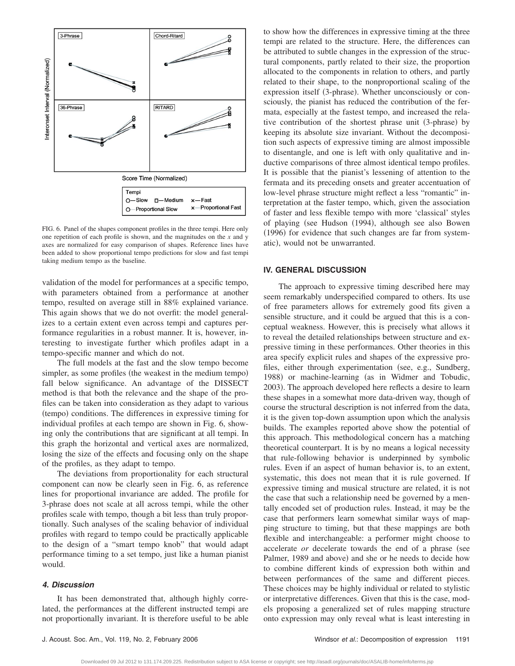

FIG. 6. Panel of the shapes component profiles in the three tempi. Here only one repetition of each profile is shown, and the magnitudes on the *x* and y axes are normalized for easy comparison of shapes. Reference lines have been added to show proportional tempo predictions for slow and fast tempi taking medium tempo as the baseline.

validation of the model for performances at a specific tempo, with parameters obtained from a performance at another tempo, resulted on average still in 88% explained variance. This again shows that we do not overfit: the model generalizes to a certain extent even across tempi and captures performance regularities in a robust manner. It is, however, interesting to investigate further which profiles adapt in a tempo-specific manner and which do not.

The full models at the fast and the slow tempo become simpler, as some profiles (the weakest in the medium tempo) fall below significance. An advantage of the DISSECT method is that both the relevance and the shape of the profiles can be taken into consideration as they adapt to various (tempo) conditions. The differences in expressive timing for individual profiles at each tempo are shown in Fig. 6, showing only the contributions that are significant at all tempi. In this graph the horizontal and vertical axes are normalized, losing the size of the effects and focusing only on the shape of the profiles, as they adapt to tempo.

The deviations from proportionality for each structural component can now be clearly seen in Fig. 6, as reference lines for proportional invariance are added. The profile for 3-phrase does not scale at all across tempi, while the other profiles scale with tempo, though a bit less than truly proportionally. Such analyses of the scaling behavior of individual profiles with regard to tempo could be practically applicable to the design of a "smart tempo knob" that would adapt performance timing to a set tempo, just like a human pianist would.

# *4. Discussion*

It has been demonstrated that, although highly correlated, the performances at the different instructed tempi are not proportionally invariant. It is therefore useful to be able to show how the differences in expressive timing at the three tempi are related to the structure. Here, the differences can be attributed to subtle changes in the expression of the structural components, partly related to their size, the proportion allocated to the components in relation to others, and partly related to their shape, to the nonproportional scaling of the expression itself (3-phrase). Whether unconsciously or consciously, the pianist has reduced the contribution of the fermata, especially at the fastest tempo, and increased the relative contribution of the shortest phrase unit (3-phrase) by keeping its absolute size invariant. Without the decomposition such aspects of expressive timing are almost impossible to disentangle, and one is left with only qualitative and inductive comparisons of three almost identical tempo profiles. It is possible that the pianist's lessening of attention to the fermata and its preceding onsets and greater accentuation of low-level phrase structure might reflect a less "romantic" interpretation at the faster tempo, which, given the association of faster and less flexible tempo with more 'classical' styles of playing (see Hudson (1994), although see also Bowen (1996) for evidence that such changes are far from systematic), would not be unwarranted.

#### **IV. GENERAL DISCUSSION**

The approach to expressive timing described here may seem remarkably underspecified compared to others. Its use of free parameters allows for extremely good fits given a sensible structure, and it could be argued that this is a conceptual weakness. However, this is precisely what allows it to reveal the detailed relationships between structure and expressive timing in these performances. Other theories in this area specify explicit rules and shapes of the expressive profiles, either through experimentation (see, e.g., Sundberg, 1988) or machine-learning (as in Widmer and Tobudic, 2003). The approach developed here reflects a desire to learn these shapes in a somewhat more data-driven way, though of course the structural description is not inferred from the data, it is the given top-down assumption upon which the analysis builds. The examples reported above show the potential of this approach. This methodological concern has a matching theoretical counterpart. It is by no means a logical necessity that rule-following behavior is underpinned by symbolic rules. Even if an aspect of human behavior is, to an extent, systematic, this does not mean that it is rule governed. If expressive timing and musical structure are related, it is not the case that such a relationship need be governed by a mentally encoded set of production rules. Instead, it may be the case that performers learn somewhat similar ways of mapping structure to timing, but that these mappings are both flexible and interchangeable: a performer might choose to accelerate *or* decelerate towards the end of a phrase (see Palmer, 1989 and above) and she or he needs to decide how to combine different kinds of expression both within and between performances of the same and different pieces. These choices may be highly individual or related to stylistic or interpretative differences. Given that this is the case, models proposing a generalized set of rules mapping structure onto expression may only reveal what is least interesting in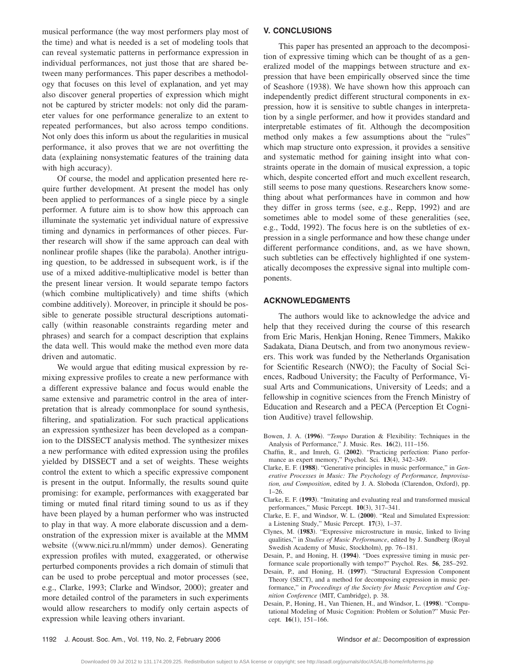musical performance (the way most performers play most of the time) and what is needed is a set of modeling tools that can reveal systematic patterns in performance expression in individual performances, not just those that are shared between many performances. This paper describes a methodology that focuses on this level of explanation, and yet may also discover general properties of expression which might not be captured by stricter models: not only did the parameter values for one performance generalize to an extent to repeated performances, but also across tempo conditions. Not only does this inform us about the regularities in musical performance, it also proves that we are not overfitting the data (explaining nonsystematic features of the training data with high accuracy).

Of course, the model and application presented here require further development. At present the model has only been applied to performances of a single piece by a single performer. A future aim is to show how this approach can illuminate the systematic yet individual nature of expressive timing and dynamics in performances of other pieces. Further research will show if the same approach can deal with nonlinear profile shapes (like the parabola). Another intriguing question, to be addressed in subsequent work, is if the use of a mixed additive-multiplicative model is better than the present linear version. It would separate tempo factors (which combine multiplicatively) and time shifts (which combine additively). Moreover, in principle it should be possible to generate possible structural descriptions automatically (within reasonable constraints regarding meter and phrases) and search for a compact description that explains the data well. This would make the method even more data driven and automatic.

We would argue that editing musical expression by remixing expressive profiles to create a new performance with a different expressive balance and focus would enable the same extensive and parametric control in the area of interpretation that is already commonplace for sound synthesis, filtering, and spatialization. For such practical applications an expression synthesizer has been developed as a companion to the DISSECT analysis method. The synthesizer mixes a new performance with edited expression using the profiles yielded by DISSECT and a set of weights. These weights control the extent to which a specific expressive component is present in the output. Informally, the results sound quite promising: for example, performances with exaggerated bar timing or muted final ritard timing sound to us as if they have been played by a human performer who was instructed to play in that way. A more elaborate discussion and a demonstration of the expression mixer is available at the MMM website ((www.nici.ru.nl/mmm) under demos). Generating expression profiles with muted, exaggerated, or otherwise perturbed components provides a rich domain of stimuli that can be used to probe perceptual and motor processes (see, e.g., Clarke, 1993; Clarke and Windsor, 2000); greater and more detailed control of the parameters in such experiments would allow researchers to modify only certain aspects of expression while leaving others invariant.

# **V. CONCLUSIONS**

This paper has presented an approach to the decomposition of expressive timing which can be thought of as a generalized model of the mappings between structure and expression that have been empirically observed since the time of Seashore (1938). We have shown how this approach can independently predict different structural components in expression, how it is sensitive to subtle changes in interpretation by a single performer, and how it provides standard and interpretable estimates of fit. Although the decomposition method only makes a few assumptions about the "rules" which map structure onto expression, it provides a sensitive and systematic method for gaining insight into what constraints operate in the domain of musical expression, a topic which, despite concerted effort and much excellent research, still seems to pose many questions. Researchers know something about what performances have in common and how they differ in gross terms (see, e.g., Repp, 1992) and are sometimes able to model some of these generalities (see, e.g., Todd, 1992). The focus here is on the subtleties of expression in a single performance and how these change under different performance conditions, and, as we have shown, such subtleties can be effectively highlighted if one systematically decomposes the expressive signal into multiple components.

# **ACKNOWLEDGMENTS**

The authors would like to acknowledge the advice and help that they received during the course of this research from Eric Maris, Henkjan Honing, Renee Timmers, Makiko Sadakata, Diana Deutsch, and from two anonymous reviewers. This work was funded by the Netherlands Organisation for Scientific Research (NWO); the Faculty of Social Sciences, Radboud University; the Faculty of Performance, Visual Arts and Communications, University of Leeds; and a fellowship in cognitive sciences from the French Ministry of Education and Research and a PECA Perception Et Cognition Auditive) travel fellowship.

- Bowen, J. A. (1996). "*Tempo* Duration & Flexibility: Techniques in the Analysis of Performance," J. Music. Res. 16(2), 111-156.
- Chaffin, R., and Imreh, G. (2002). "Practicing perfection: Piano performance as expert memory," Psychol. Sci. 13(4), 342-349.
- Clarke, E. F. (1988). "Generative principles in music performance," in *Generative Processes in Music: The Psychology of Performance, Improvisa*tion, and Composition, edited by J. A. Sloboda (Clarendon, Oxford), pp.  $1-26$ .
- Clarke, E. F. (1993). "Imitating and evaluating real and transformed musical performances," Music Percept. 10(3), 317-341.
- Clarke, E. F., and Windsor, W. L. (2000). "Real and Simulated Expression: a Listening Study," Music Percept. 17(3), 1-37.
- Clynes, M. (1983). "Expressive microstructure in music, linked to living qualities," in *Studies of Music Performance*, edited by J. Sundberg (Royal Swedish Academy of Music, Stockholm), pp. 76-181.
- Desain, P., and Honing, H. (1994). "Does expressive timing in music performance scale proportionally with tempo?" Psychol. Res. **56**, 285–292.
- Desain, P., and Honing, H. (1997). "Structural Expression Component Theory (SECT), and a method for decomposing expression in music performance," in *Proceedings of the Society for Music Perception and Cog*nition Conference (MIT, Cambridge), p. 38.
- Desain, P., Honing, H., Van Thienen, H., and Windsor, L. (1998). "Computational Modeling of Music Cognition: Problem or Solution?" Music Percept. **16**(1), 151-166.